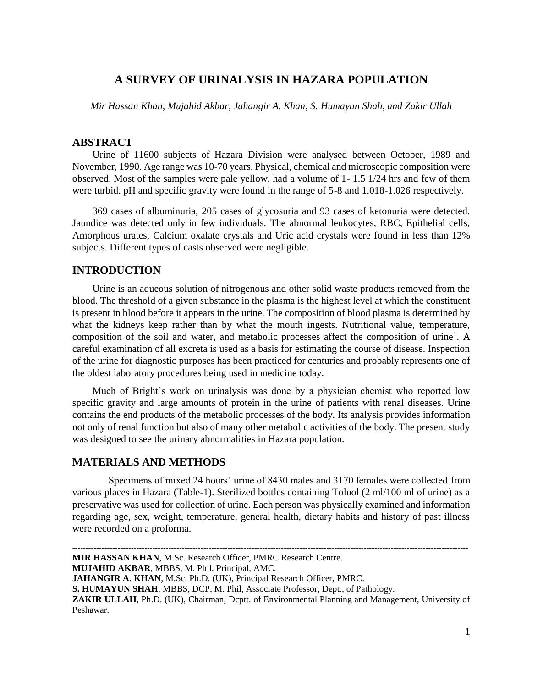# **A SURVEY OF URINALYSIS IN HAZARA POPULATION**

*Mir Hassan Khan, Mujahid Akbar, Jahangir A. Khan, S. Humayun Shah, and Zakir Ullah*

## **ABSTRACT**

Urine of 11600 subjects of Hazara Division were analysed between October, 1989 and November, 1990. Age range was 10-70 years. Physical, chemical and microscopic composition were observed. Most of the samples were pale yellow, had a volume of 1- 1.5 1/24 hrs and few of them were turbid. pH and specific gravity were found in the range of 5-8 and 1.018-1.026 respectively.

369 cases of albuminuria, 205 cases of glycosuria and 93 cases of ketonuria were detected. Jaundice was detected only in few individuals. The abnormal leukocytes, RBC, Epithelial cells, Amorphous urates, Calcium oxalate crystals and Uric acid crystals were found in less than 12% subjects. Different types of casts observed were negligible.

## **INTRODUCTION**

Urine is an aqueous solution of nitrogenous and other solid waste products removed from the blood. The threshold of a given substance in the plasma is the highest level at which the constituent is present in blood before it appears in the urine. The composition of blood plasma is determined by what the kidneys keep rather than by what the mouth ingests. Nutritional value, temperature, composition of the soil and water, and metabolic processes affect the composition of urine<sup>1</sup>. A careful examination of all excreta is used as a basis for estimating the course of disease. Inspection of the urine for diagnostic purposes has been practiced for centuries and probably represents one of the oldest laboratory procedures being used in medicine today.

Much of Bright's work on urinalysis was done by a physician chemist who reported low specific gravity and large amounts of protein in the urine of patients with renal diseases. Urine contains the end products of the metabolic processes of the body. Its analysis provides information not only of renal function but also of many other metabolic activities of the body. The present study was designed to see the urinary abnormalities in Hazara population.

## **MATERIALS AND METHODS**

Specimens of mixed 24 hours' urine of 8430 males and 3170 females were collected from various places in Hazara (Table-1). Sterilized bottles containing Toluol (2 ml/100 ml of urine) as a preservative was used for collection of urine. Each person was physically examined and information regarding age, sex, weight, temperature, general health, dietary habits and history of past illness were recorded on a proforma.

**MUJAHID AKBAR**, MBBS, M. Phil, Principal, AMC.

**<sup>----------------------------------------------------------------------------------------------------------------------------------------------------</sup> MIR HASSAN KHAN**, M.Sc. Research Officer, PMRC Research Centre.

**JAHANGIR A. KHAN**, M.Sc. Ph.D. (UK), Principal Research Officer, PMRC.

**S. HUMAYUN SHAH**, MBBS, DCP, M. Phil, Associate Professor, Dept., of Pathology.

ZAKIR ULLAH, Ph.D. (UK), Chairman, Dcptt. of Environmental Planning and Management, University of Peshawar.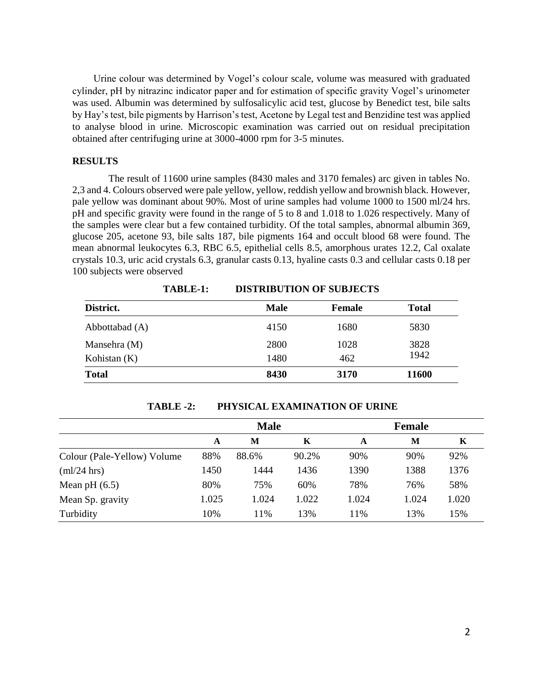Urine colour was determined by Vogel's colour scale, volume was measured with graduated cylinder, pH by nitrazinc indicator paper and for estimation of specific gravity Vogel's urinometer was used. Albumin was determined by sulfosalicylic acid test, glucose by Benedict test, bile salts by Hay's test, bile pigments by Harrison's test, Acetone by Legal test and Benzidine test was applied to analyse blood in urine. Microscopic examination was carried out on residual precipitation obtained after centrifuging urine at 3000-4000 rpm for 3-5 minutes.

### **RESULTS**

The result of 11600 urine samples (8430 males and 3170 females) arc given in tables No. 2,3 and 4. Colours observed were pale yellow, yellow, reddish yellow and brownish black. However, pale yellow was dominant about 90%. Most of urine samples had volume 1000 to 1500 ml/24 hrs. pH and specific gravity were found in the range of 5 to 8 and 1.018 to 1.026 respectively. Many of the samples were clear but a few contained turbidity. Of the total samples, abnormal albumin 369, glucose 205, acetone 93, bile salts 187, bile pigments 164 and occult blood 68 were found. The mean abnormal leukocytes 6.3, RBC 6.5, epithelial cells 8.5, amorphous urates 12.2, Cal oxalate crystals 10.3, uric acid crystals 6.3, granular casts 0.13, hyaline casts 0.3 and cellular casts 0.18 per 100 subjects were observed

|                | TABLE-1: | <b>DISTRIBUTION OF SUBJECTS</b> |               |              |
|----------------|----------|---------------------------------|---------------|--------------|
| District.      |          | Male                            | <b>Female</b> | <b>Total</b> |
| Abbottabad (A) |          | 4150                            | 1680          | 5830         |
| Mansehra (M)   |          | 2800                            | 1028          | 3828         |
| Kohistan $(K)$ |          | 1480                            | 462           | 1942         |
| <b>Total</b>   |          | 8430                            | 3170          | 11600        |

**TABLE-1: DISTRIBUTION OF SUBJECTS**

**TABLE -2: PHYSICAL EXAMINATION OF URINE**

|                             | <b>Male</b> |       |       | <b>Female</b> |       |       |
|-----------------------------|-------------|-------|-------|---------------|-------|-------|
|                             | A           | M     | K     | A             | M     | K     |
| Colour (Pale-Yellow) Volume | 88%         | 88.6% | 90.2% | 90%           | 90%   | 92%   |
| $m!/24$ hrs                 | 1450        | 1444  | 1436  | 1390          | 1388  | 1376  |
| Mean pH $(6.5)$             | 80%         | 75%   | 60%   | 78%           | 76%   | 58%   |
| Mean Sp. gravity            | 1.025       | 1.024 | 1.022 | 1.024         | 1.024 | 1.020 |
| Turbidity                   | 10%         | 11%   | 13%   | 11%           | 13%   | 15%   |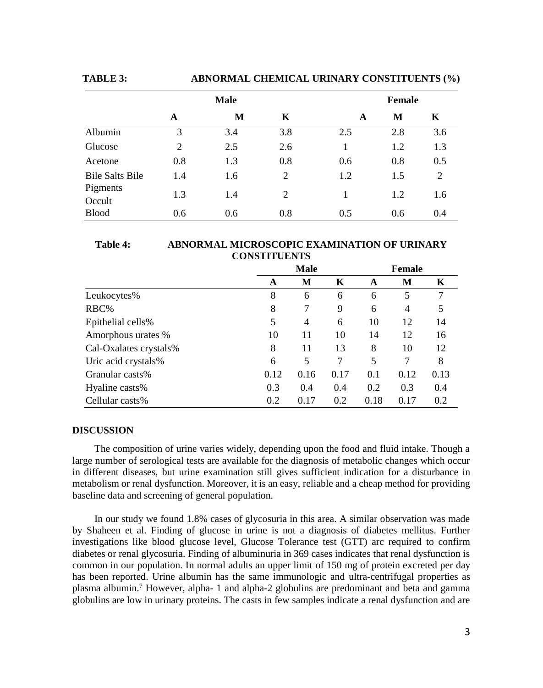**TABLE 3: ABNORMAL CHEMICAL URINARY CONSTITUENTS (%)**

|                        | <b>Male</b>    |     |     |     | <b>Female</b> |     |  |
|------------------------|----------------|-----|-----|-----|---------------|-----|--|
|                        | A              | M   | K   | A   | М             | K   |  |
| Albumin                | 3              | 3.4 | 3.8 | 2.5 | 2.8           | 3.6 |  |
| Glucose                | $\mathfrak{D}$ | 2.5 | 2.6 |     | 1.2           | 1.3 |  |
| Acetone                | 0.8            | 1.3 | 0.8 | 0.6 | 0.8           | 0.5 |  |
| <b>Bile Salts Bile</b> | 1.4            | 1.6 | 2   | 1.2 | 1.5           | 2   |  |
| Pigments<br>Occult     | 1.3            | 1.4 | 2   | 1   | 1.2           | 1.6 |  |
| <b>Blood</b>           | 0.6            | 0.6 | 0.8 | 0.5 | 0.6           | 0.4 |  |

#### **Table 4: ABNORMAL MICROSCOPIC EXAMINATION OF URINARY CONSTITUENTS**

|                        |      | <b>Male</b> |      |      | Female |      |  |
|------------------------|------|-------------|------|------|--------|------|--|
|                        | A    | M           | K    | A    | М      | K    |  |
| Leukocytes%            | 8    | 6           | 6    | 6    | 5      | 7    |  |
| RBC%                   | 8    | 7           | 9    | 6    | 4      | 5    |  |
| Epithelial cells%      | 5    | 4           | 6    | 10   | 12     | 14   |  |
| Amorphous urates %     | 10   | 11          | 10   | 14   | 12     | 16   |  |
| Cal-Oxalates crystals% | 8    | 11          | 13   | 8    | 10     | 12   |  |
| Uric acid crystals%    | 6    | 5           | 7    | 5    | 7      | 8    |  |
| Granular casts%        | 0.12 | 0.16        | 0.17 | 0.1  | 0.12   | 0.13 |  |
| Hyaline casts%         | 0.3  | 0.4         | 0.4  | 0.2  | 0.3    | 0.4  |  |
| Cellular casts%        | 0.2  | 0.17        | 0.2  | 0.18 | 0.17   | 0.2  |  |

#### **DISCUSSION**

The composition of urine varies widely, depending upon the food and fluid intake. Though a large number of serological tests are available for the diagnosis of metabolic changes which occur in different diseases, but urine examination still gives sufficient indication for a disturbance in metabolism or renal dysfunction. Moreover, it is an easy, reliable and a cheap method for providing baseline data and screening of general population.

In our study we found 1.8% cases of glycosuria in this area. A similar observation was made by Shaheen et al. Finding of glucose in urine is not a diagnosis of diabetes mellitus. Further investigations like blood glucose level, Glucose Tolerance test (GTT) arc required to confirm diabetes or renal glycosuria. Finding of albuminuria in 369 cases indicates that renal dysfunction is common in our population. In normal adults an upper limit of 150 mg of protein excreted per day has been reported. Urine albumin has the same immunologic and ultra-centrifugal properties as plasma albumin.<sup>7</sup> However, alpha- 1 and alpha-2 globulins are predominant and beta and gamma globulins are low in urinary proteins. The casts in few samples indicate a renal dysfunction and are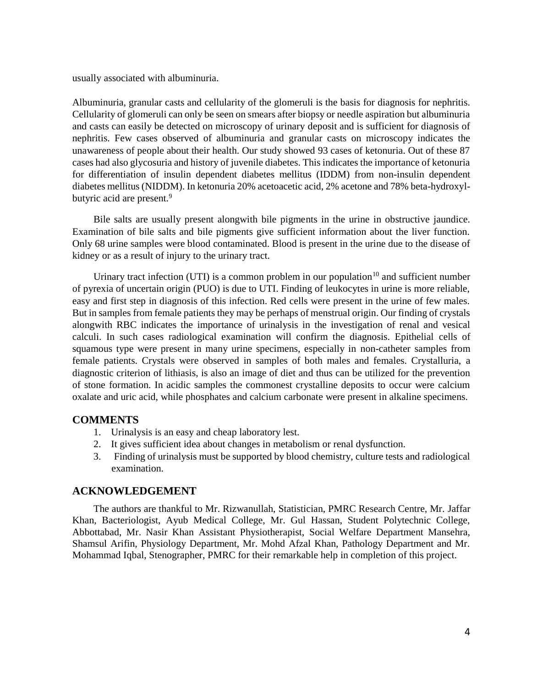usually associated with albuminuria.

Albuminuria, granular casts and cellularity of the glomeruli is the basis for diagnosis for nephritis. Cellularity of glomeruli can only be seen on smears after biopsy or needle aspiration but albuminuria and casts can easily be detected on microscopy of urinary deposit and is sufficient for diagnosis of nephritis. Few cases observed of albuminuria and granular casts on microscopy indicates the unawareness of people about their health. Our study showed 93 cases of ketonuria. Out of these 87 cases had also glycosuria and history of juvenile diabetes. This indicates the importance of ketonuria for differentiation of insulin dependent diabetes mellitus (IDDM) from non-insulin dependent diabetes mellitus (NIDDM). In ketonuria 20% acetoacetic acid, 2% acetone and 78% beta-hydroxylbutyric acid are present.<sup>9</sup>

Bile salts are usually present alongwith bile pigments in the urine in obstructive jaundice. Examination of bile salts and bile pigments give sufficient information about the liver function. Only 68 urine samples were blood contaminated. Blood is present in the urine due to the disease of kidney or as a result of injury to the urinary tract.

Urinary tract infection (UTI) is a common problem in our population<sup>10</sup> and sufficient number of pyrexia of uncertain origin (PUO) is due to UTI. Finding of leukocytes in urine is more reliable, easy and first step in diagnosis of this infection. Red cells were present in the urine of few males. But in samples from female patients they may be perhaps of menstrual origin. Our finding of crystals alongwith RBC indicates the importance of urinalysis in the investigation of renal and vesical calculi. In such cases radiological examination will confirm the diagnosis. Epithelial cells of squamous type were present in many urine specimens, especially in non-catheter samples from female patients. Crystals were observed in samples of both males and females. Crystalluria, a diagnostic criterion of lithiasis, is also an image of diet and thus can be utilized for the prevention of stone formation. In acidic samples the commonest crystalline deposits to occur were calcium oxalate and uric acid, while phosphates and calcium carbonate were present in alkaline specimens.

## **COMMENTS**

- 1. Urinalysis is an easy and cheap laboratory lest.
- 2. It gives sufficient idea about changes in metabolism or renal dysfunction.
- 3. Finding of urinalysis must be supported by blood chemistry, culture tests and radiological examination.

## **ACKNOWLEDGEMENT**

The authors are thankful to Mr. Rizwanullah, Statistician, PMRC Research Centre, Mr. Jaffar Khan, Bacteriologist, Ayub Medical College, Mr. Gul Hassan, Student Polytechnic College, Abbottabad, Mr. Nasir Khan Assistant Physiotherapist, Social Welfare Department Mansehra, Shamsul Arifin, Physiology Department, Mr. Mohd Afzal Khan, Pathology Department and Mr. Mohammad Iqbal, Stenographer, PMRC for their remarkable help in completion of this project.